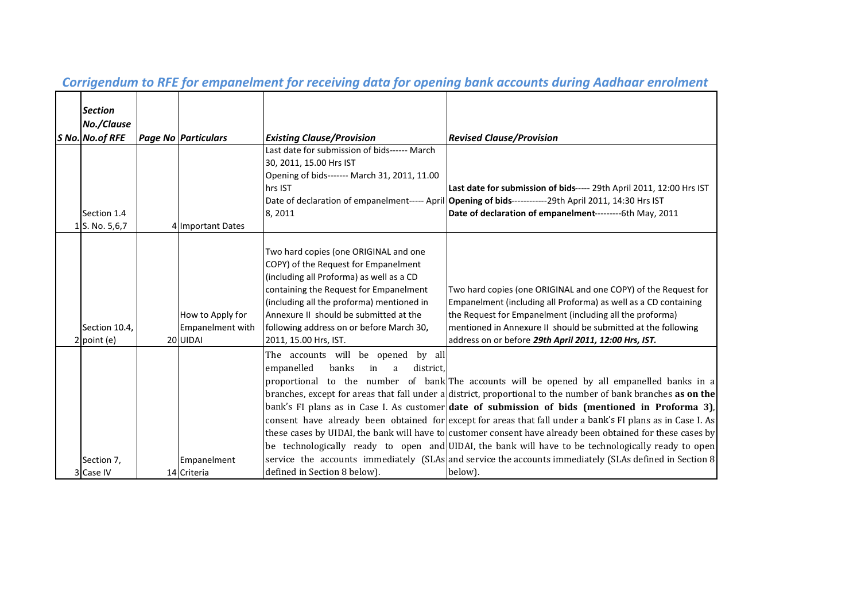| <b>Section</b><br>No./Clause<br>S No. No. of RFE | <b>Page No Particulars</b>                              | <b>Existing Clause/Provision</b>                                                                                                                                                                                                                                                                                                | <b>Revised Clause/Provision</b>                                                                                                                                                                                                                                                                                                                                                                                                                                                                                                                                                                                                                                                                                                                             |
|--------------------------------------------------|---------------------------------------------------------|---------------------------------------------------------------------------------------------------------------------------------------------------------------------------------------------------------------------------------------------------------------------------------------------------------------------------------|-------------------------------------------------------------------------------------------------------------------------------------------------------------------------------------------------------------------------------------------------------------------------------------------------------------------------------------------------------------------------------------------------------------------------------------------------------------------------------------------------------------------------------------------------------------------------------------------------------------------------------------------------------------------------------------------------------------------------------------------------------------|
| Section 1.4<br>1 S. No. 5,6,7                    | 4 Important Dates                                       | Last date for submission of bids------ March<br>30, 2011, 15.00 Hrs IST<br>Opening of bids------- March 31, 2011, 11.00<br>hrs IST<br>8,2011                                                                                                                                                                                    | Last date for submission of bids----- 29th April 2011, 12:00 Hrs IST<br>Date of declaration of empanelment----- April   Opening of bids------------29th April 2011, 14:30 Hrs IST<br>Date of declaration of empanelment----------- 6th May, 2011                                                                                                                                                                                                                                                                                                                                                                                                                                                                                                            |
| Section 10.4,<br>$2$ point (e)                   | How to Apply for<br><b>Empanelment with</b><br>20 UIDAI | Two hard copies (one ORIGINAL and one<br>COPY) of the Request for Empanelment<br>(including all Proforma) as well as a CD<br>containing the Request for Empanelment<br>(including all the proforma) mentioned in<br>Annexure II should be submitted at the<br>following address on or before March 30,<br>2011, 15.00 Hrs, IST. | Two hard copies (one ORIGINAL and one COPY) of the Request for<br>Empanelment (including all Proforma) as well as a CD containing<br>the Request for Empanelment (including all the proforma)<br>mentioned in Annexure II should be submitted at the following<br>address on or before 29th April 2011, 12:00 Hrs, IST.                                                                                                                                                                                                                                                                                                                                                                                                                                     |
| Section 7,                                       | Empanelment                                             | The accounts will be opened by all<br>empanelled<br>banks<br>in<br>district.<br>a                                                                                                                                                                                                                                               | proportional to the number of bank The accounts will be opened by all empanelled banks in a<br>branches, except for areas that fall under a district, proportional to the number of bank branches as on the<br>bank's FI plans as in Case I. As customer date of submission of bids (mentioned in Proforma 3),<br>consent have already been obtained for except for areas that fall under a bank's FI plans as in Case I. As<br>these cases by UIDAI, the bank will have to customer consent have already been obtained for these cases by<br>be technologically ready to open and UIDAI, the bank will have to be technologically ready to open<br>service the accounts immediately (SLAs and service the accounts immediately (SLAs defined in Section 8) |
| 3 Case IV                                        | 14 Criteria                                             | defined in Section 8 below).                                                                                                                                                                                                                                                                                                    | below).                                                                                                                                                                                                                                                                                                                                                                                                                                                                                                                                                                                                                                                                                                                                                     |

# Corrigendum to RFE for empanelment for receiving data for opening bank accounts during Aadhaar enrolment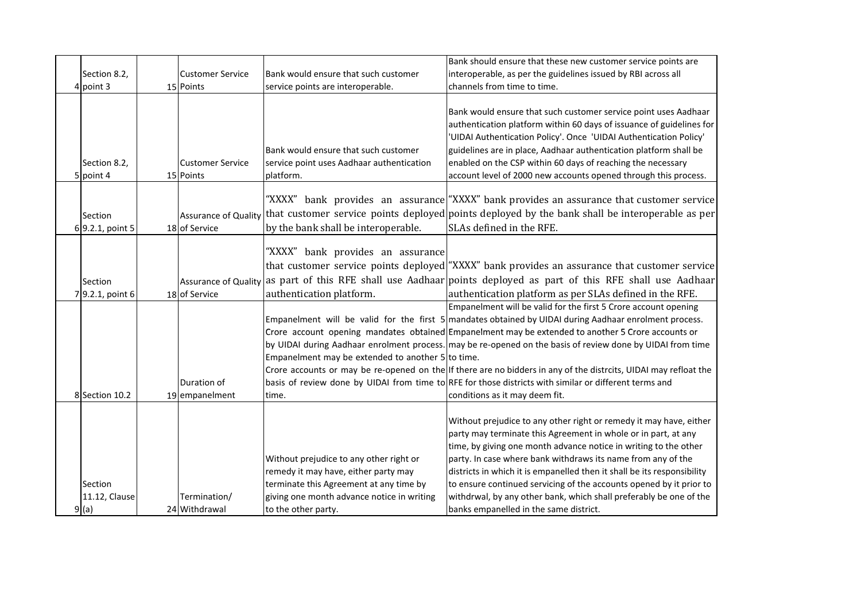| Section 8.2,<br>4 point 3        | <b>Customer Service</b><br>15 Points | Bank would ensure that such customer<br>service points are interoperable.                                                                                                                       | Bank should ensure that these new customer service points are<br>interoperable, as per the guidelines issued by RBI across all<br>channels from time to time.                                                                                                                                                                                                                                                                                                                                                                                                                                                                                                 |
|----------------------------------|--------------------------------------|-------------------------------------------------------------------------------------------------------------------------------------------------------------------------------------------------|---------------------------------------------------------------------------------------------------------------------------------------------------------------------------------------------------------------------------------------------------------------------------------------------------------------------------------------------------------------------------------------------------------------------------------------------------------------------------------------------------------------------------------------------------------------------------------------------------------------------------------------------------------------|
| Section 8.2,<br>5 point 4        | <b>Customer Service</b><br>15 Points | Bank would ensure that such customer<br>service point uses Aadhaar authentication<br>platform.                                                                                                  | Bank would ensure that such customer service point uses Aadhaar<br>authentication platform within 60 days of issuance of guidelines for<br>'UIDAI Authentication Policy'. Once 'UIDAI Authentication Policy'<br>guidelines are in place, Aadhaar authentication platform shall be<br>enabled on the CSP within 60 days of reaching the necessary<br>account level of 2000 new accounts opened through this process.                                                                                                                                                                                                                                           |
| Section<br>6 9.2.1, point 5      | 18 of Service                        | by the bank shall be interoperable.                                                                                                                                                             | "XXXX" bank provides an assurance "XXXX" bank provides an assurance that customer service<br>Assurance of Quality that customer service points deployed points deployed by the bank shall be interoperable as per<br>SLAs defined in the RFE.                                                                                                                                                                                                                                                                                                                                                                                                                 |
| Section<br>7 9.2.1, point 6      | 18 of Service                        | "XXXX" bank provides an assurance<br>authentication platform.                                                                                                                                   | that customer service points deployed "XXXX" bank provides an assurance that customer service<br>Assurance of Quality as part of this RFE shall use Aadhaar points deployed as part of this RFE shall use Aadhaar<br>authentication platform as per SLAs defined in the RFE.                                                                                                                                                                                                                                                                                                                                                                                  |
| 8 Section 10.2                   | Duration of<br>19 empanelment        | Empanelment may be extended to another 5 to time.<br>time.                                                                                                                                      | Empanelment will be valid for the first 5 Crore account opening<br>Empanelment will be valid for the first 5 mandates obtained by UIDAI during Aadhaar enrolment process.<br>Crore account opening mandates obtained Empanelment may be extended to another 5 Crore accounts or<br>by UIDAI during Aadhaar enrolment process. may be re-opened on the basis of review done by UIDAI from time<br>Crore accounts or may be re-opened on the If there are no bidders in any of the distrcits, UIDAI may refloat the<br>basis of review done by UIDAI from time to RFE for those districts with similar or different terms and<br>conditions as it may deem fit. |
| Section<br>11.12, Clause<br>9(a) | Termination/<br>24 Withdrawal        | Without prejudice to any other right or<br>remedy it may have, either party may<br>terminate this Agreement at any time by<br>giving one month advance notice in writing<br>to the other party. | Without prejudice to any other right or remedy it may have, either<br>party may terminate this Agreement in whole or in part, at any<br>time, by giving one month advance notice in writing to the other<br>party. In case where bank withdraws its name from any of the<br>districts in which it is empanelled then it shall be its responsibility<br>to ensure continued servicing of the accounts opened by it prior to<br>withdrwal, by any other bank, which shall preferably be one of the<br>banks empanelled in the same district.                                                                                                                    |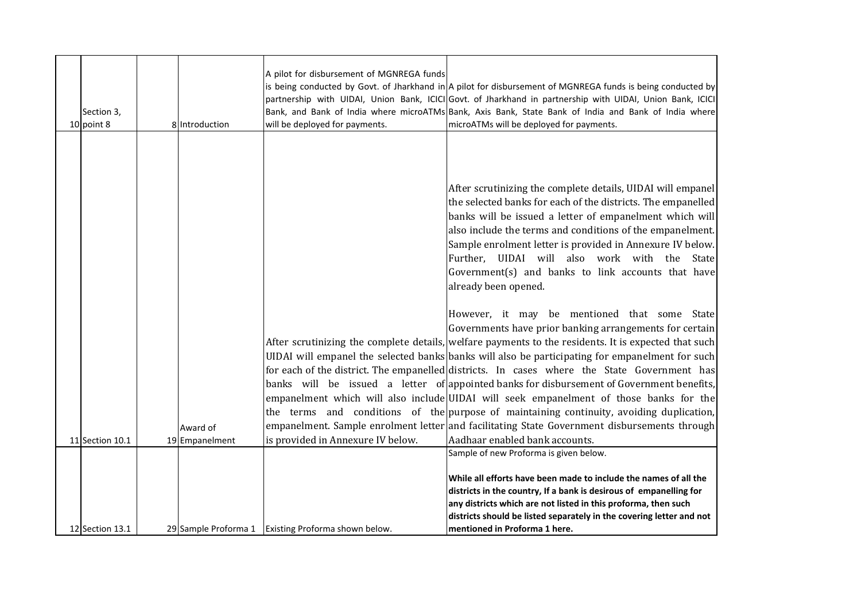|                 |                            | A pilot for disbursement of MGNREGA funds           | is being conducted by Govt. of Jharkhand in $A$ pilot for disbursement of MGNREGA funds is being conducted by                                                                                                                                                                                                                                                                                                                                                                                                                                                                                                                                                                                                                                                                                                                          |
|-----------------|----------------------------|-----------------------------------------------------|----------------------------------------------------------------------------------------------------------------------------------------------------------------------------------------------------------------------------------------------------------------------------------------------------------------------------------------------------------------------------------------------------------------------------------------------------------------------------------------------------------------------------------------------------------------------------------------------------------------------------------------------------------------------------------------------------------------------------------------------------------------------------------------------------------------------------------------|
|                 |                            |                                                     | partnership with UIDAI, Union Bank, ICICI Govt. of Jharkhand in partnership with UIDAI, Union Bank, ICICI                                                                                                                                                                                                                                                                                                                                                                                                                                                                                                                                                                                                                                                                                                                              |
| Section 3,      |                            |                                                     | Bank, and Bank of India where microATMs Bank, Axis Bank, State Bank of India and Bank of India where                                                                                                                                                                                                                                                                                                                                                                                                                                                                                                                                                                                                                                                                                                                                   |
| 10 point 8      | 8 Introduction             | will be deployed for payments.                      | microATMs will be deployed for payments.                                                                                                                                                                                                                                                                                                                                                                                                                                                                                                                                                                                                                                                                                                                                                                                               |
|                 |                            |                                                     | After scrutinizing the complete details, UIDAI will empanel<br>the selected banks for each of the districts. The empanelled<br>banks will be issued a letter of empanelment which will<br>also include the terms and conditions of the empanelment.<br>Sample enrolment letter is provided in Annexure IV below.<br>Further, UIDAI will also work with the State<br>Government(s) and banks to link accounts that have<br>already been opened.                                                                                                                                                                                                                                                                                                                                                                                         |
| 11 Section 10.1 | Award of<br>19 Empanelment | is provided in Annexure IV below.                   | However, it may be mentioned that some State<br>Governments have prior banking arrangements for certain<br>After scrutinizing the complete details, welfare payments to the residents. It is expected that such<br>UIDAI will empanel the selected banks banks will also be participating for empanelment for such<br>for each of the district. The empanelled districts. In cases where the State Government has<br>banks will be issued a letter of appointed banks for disbursement of Government benefits,<br>empanelment which will also include UIDAI will seek empanelment of those banks for the<br>the terms and conditions of the purpose of maintaining continuity, avoiding duplication,<br>empanelment. Sample enrolment letter and facilitating State Government disbursements through<br>Aadhaar enabled bank accounts. |
| 12 Section 13.1 |                            | 29 Sample Proforma 1 Existing Proforma shown below. | Sample of new Proforma is given below.<br>While all efforts have been made to include the names of all the<br>districts in the country, If a bank is desirous of empanelling for<br>any districts which are not listed in this proforma, then such<br>districts should be listed separately in the covering letter and not<br>mentioned in Proforma 1 here.                                                                                                                                                                                                                                                                                                                                                                                                                                                                            |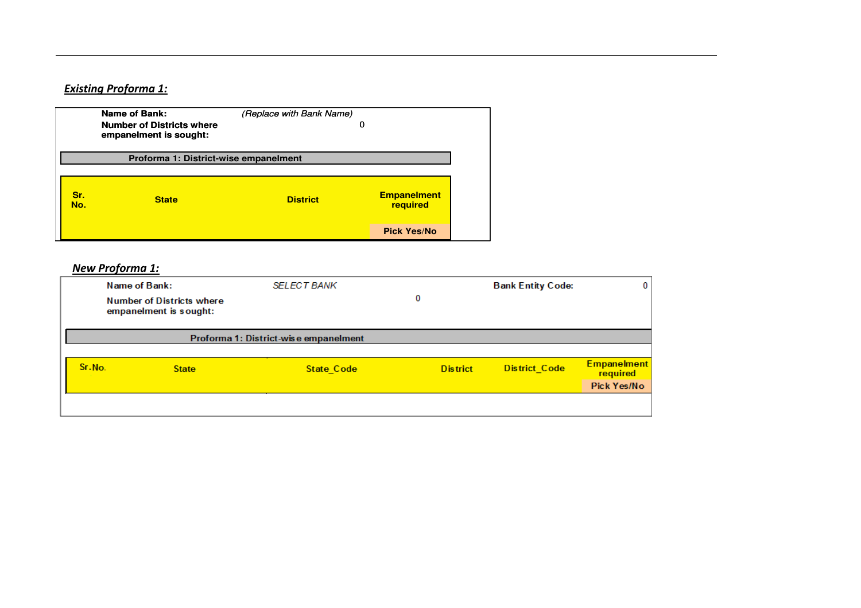## Existing Proforma 1:

|            | Name of Bank:<br><b>Number of Districts where</b><br>empanelment is sought: | (Replace with Bank Name)<br>0 |                                |
|------------|-----------------------------------------------------------------------------|-------------------------------|--------------------------------|
|            | Proforma 1: District-wise empanelment                                       |                               |                                |
| Sr.<br>No. | <b>State</b>                                                                | <b>District</b>               | <b>Empanelment</b><br>required |
|            |                                                                             |                               | <b>Pick Yes/No</b>             |

### New Proforma 1:

| Name of Bank:<br><b>Number of Districts where</b><br>empanelment is sought: |              | <b>SELECT BANK</b>                    | <b>Bank Entity Code:</b><br>0 |                      | 0                                             |
|-----------------------------------------------------------------------------|--------------|---------------------------------------|-------------------------------|----------------------|-----------------------------------------------|
|                                                                             |              | Proforma 1: District-wise empanelment |                               |                      |                                               |
| Sr.No.                                                                      | <b>State</b> | <b>State Code</b>                     | <b>District</b>               | <b>District Code</b> | <b>Empanelment</b><br>required<br>Pick Yes/No |
|                                                                             |              |                                       |                               |                      |                                               |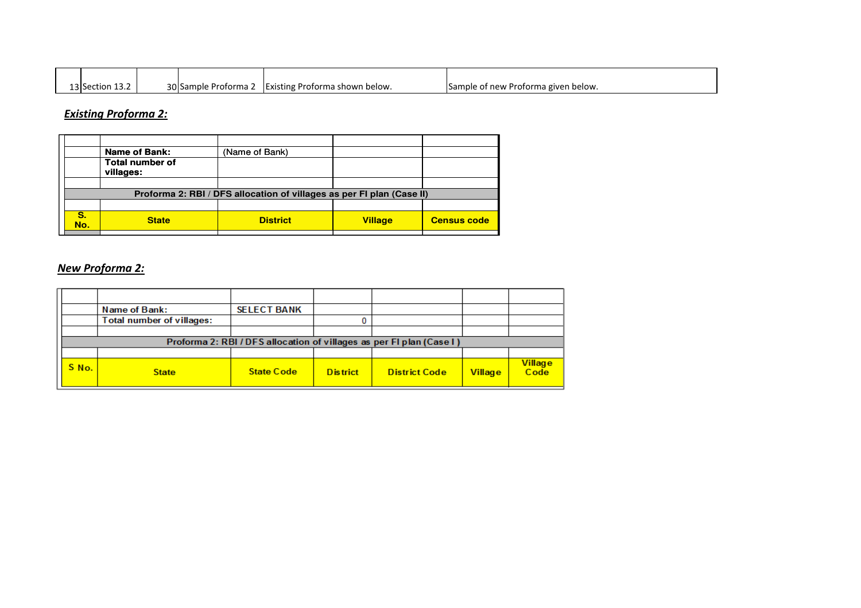| $\sim$ $\sim$<br>13 Section 13.2 | 30 Sample Proforma 2 | - IExisting Proforma shown below. | Sample of new Proforma given below. |
|----------------------------------|----------------------|-----------------------------------|-------------------------------------|

## Existing Proforma 2:

|           | <b>Name of Bank:</b>                                                  | (Name of Bank)  |                |                    |  |  |  |  |
|-----------|-----------------------------------------------------------------------|-----------------|----------------|--------------------|--|--|--|--|
|           | <b>Total number of</b><br>villages:                                   |                 |                |                    |  |  |  |  |
|           |                                                                       |                 |                |                    |  |  |  |  |
|           | Proforma 2: RBI / DFS allocation of villages as per FI plan (Case II) |                 |                |                    |  |  |  |  |
|           |                                                                       |                 |                |                    |  |  |  |  |
| S.<br>No. | <b>State</b>                                                          | <b>District</b> | <b>Village</b> | <b>Census code</b> |  |  |  |  |

## New Proforma 2:

|       | Name of Bank:                    | <b>SELECT BANK</b> |                 |                                                                      |                |                 |
|-------|----------------------------------|--------------------|-----------------|----------------------------------------------------------------------|----------------|-----------------|
|       | <b>Total number of villages:</b> |                    |                 |                                                                      |                |                 |
|       |                                  |                    |                 |                                                                      |                |                 |
|       |                                  |                    |                 | Proforma 2: RBI / DFS allocation of villages as per FI plan (Case I) |                |                 |
|       |                                  |                    |                 |                                                                      |                |                 |
| S No. | <b>State</b>                     | <b>State Code</b>  | <b>District</b> | <b>District Code</b>                                                 | <b>Village</b> | Village<br>Code |